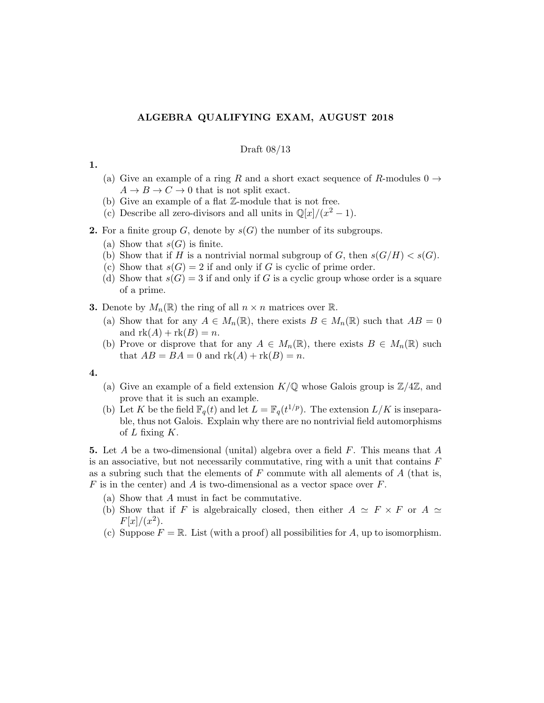# ALGEBRA QUALIFYING EXAM, AUGUST 2018

### Draft 08/13

## 1.

- (a) Give an example of a ring R and a short exact sequence of R-modules  $0 \rightarrow$  $A \to B \to C \to 0$  that is not split exact.
- (b) Give an example of a flat Z-module that is not free.
- (c) Describe all zero-divisors and all units in  $\mathbb{Q}[x]/(x^2-1)$ .
- **2.** For a finite group G, denote by  $s(G)$  the number of its subgroups.
	- (a) Show that  $s(G)$  is finite.
	- (b) Show that if H is a nontrivial normal subgroup of G, then  $s(G/H) < s(G)$ .
	- (c) Show that  $s(G) = 2$  if and only if G is cyclic of prime order.
	- (d) Show that  $s(G) = 3$  if and only if G is a cyclic group whose order is a square of a prime.
- **3.** Denote by  $M_n(\mathbb{R})$  the ring of all  $n \times n$  matrices over  $\mathbb{R}$ .
	- (a) Show that for any  $A \in M_n(\mathbb{R})$ , there exists  $B \in M_n(\mathbb{R})$  such that  $AB = 0$ and  $rk(A) + rk(B) = n$ .
	- (b) Prove or disprove that for any  $A \in M_n(\mathbb{R})$ , there exists  $B \in M_n(\mathbb{R})$  such that  $AB = BA = 0$  and  $rk(A) + rk(B) = n$ .

#### 4.

- (a) Give an example of a field extension  $K/\mathbb{Q}$  whose Galois group is  $\mathbb{Z}/4\mathbb{Z}$ , and prove that it is such an example.
- (b) Let K be the field  $\mathbb{F}_q(t)$  and let  $L = \mathbb{F}_q(t^{1/p})$ . The extension  $L/K$  is inseparable, thus not Galois. Explain why there are no nontrivial field automorphisms of  $L$  fixing  $K$ .

5. Let  $A$  be a two-dimensional (unital) algebra over a field  $F$ . This means that  $A$ is an associative, but not necessarily commutative, ring with a unit that contains  $F$ as a subring such that the elements of  $F$  commute with all alements of  $A$  (that is, F is in the center) and A is two-dimensional as a vector space over  $F$ .

- (a) Show that A must in fact be commutative.
- (b) Show that if F is algebraically closed, then either  $A \simeq F \times F$  or  $A \simeq$  $F[x]/(x^2)$ .
- (c) Suppose  $F = \mathbb{R}$ . List (with a proof) all possibilities for A, up to isomorphism.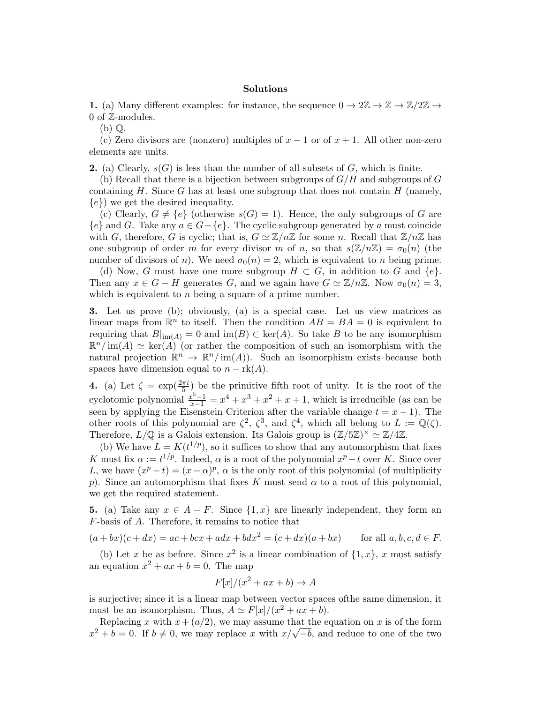### Solutions

1. (a) Many different examples: for instance, the sequence  $0 \to 2\mathbb{Z} \to \mathbb{Z} \to \mathbb{Z}/2\mathbb{Z} \to$ 0 of  $\mathbb{Z}$ -modules.

(b) Q.

(c) Zero divisors are (nonzero) multiples of  $x - 1$  or of  $x + 1$ . All other non-zero elements are units.

**2.** (a) Clearly,  $s(G)$  is less than the number of all subsets of G, which is finite.

(b) Recall that there is a bijection between subgroups of  $G/H$  and subgroups of G containing  $H$ . Since  $G$  has at least one subgroup that does not contain  $H$  (namely,  $\{e\}$  we get the desired inequality.

(c) Clearly,  $G \neq \{e\}$  (otherwise  $s(G) = 1$ ). Hence, the only subgroups of G are  ${e}$  and G. Take any  $a \in G - {e}$ . The cyclic subgroup generated by a must coincide with G, therefore, G is cyclic; that is,  $G \simeq \mathbb{Z}/n\mathbb{Z}$  for some n. Recall that  $\mathbb{Z}/n\mathbb{Z}$  has one subgroup of order m for every divisor m of n, so that  $s(\mathbb{Z}/n\mathbb{Z}) = \sigma_0(n)$  (the number of divisors of n). We need  $\sigma_0(n) = 2$ , which is equivalent to n being prime.

(d) Now, G must have one more subgroup  $H \subset G$ , in addition to G and  $\{e\}$ . Then any  $x \in G - H$  generates G, and we again have  $G \simeq \mathbb{Z}/n\mathbb{Z}$ . Now  $\sigma_0(n) = 3$ , which is equivalent to  $n$  being a square of a prime number.

3. Let us prove (b); obviously, (a) is a special case. Let us view matrices as linear maps from  $\mathbb{R}^n$  to itself. Then the condition  $AB = BA = 0$  is equivalent to requiring that  $B|_{\text{im}(A)} = 0$  and  $\text{im}(B) \subset \text{ker}(A)$ . So take B to be any isomorphism  $\mathbb{R}^n/\mathrm{im}(A) \simeq \mathrm{ker}(A)$  (or rather the composition of such an isomorphism with the natural projection  $\mathbb{R}^n \to \mathbb{R}^n/\text{im}(A)$ . Such an isomorphism exists because both spaces have dimension equal to  $n - \text{rk}(A)$ .

**4.** (a) Let  $\zeta = \exp(\frac{2\pi i}{5})$  be the primitive fifth root of unity. It is the root of the cyclotomic polynomial  $\frac{x^5-1}{x-1} = x^4 + x^3 + x^2 + x + 1$ , which is irreducible (as can be seen by applying the Eisenstein Criterion after the variable change  $t = x - 1$ . The other roots of this polynomial are  $\zeta^2$ ,  $\zeta^3$ , and  $\zeta^4$ , which all belong to  $L := \mathbb{Q}(\zeta)$ . Therefore,  $L/\mathbb{Q}$  is a Galois extension. Its Galois group is  $(\mathbb{Z}/5\mathbb{Z})^{\times} \simeq \mathbb{Z}/4\mathbb{Z}$ .

(b) We have  $L = K(t^{1/p})$ , so it suffices to show that any automorphism that fixes K must fix  $\alpha := t^{1/p}$ . Indeed,  $\alpha$  is a root of the polynomial  $x^p - t$  over K. Since over L, we have  $(x^p - t) = (x - \alpha)^p$ ,  $\alpha$  is the only root of this polynomial (of multiplicity p). Since an automorphism that fixes K must send  $\alpha$  to a root of this polynomial, we get the required statement.

5. (a) Take any  $x \in A - F$ . Since  $\{1, x\}$  are linearly independent, they form an F-basis of A. Therefore, it remains to notice that

 $(a+bx)(c+dx) = ac + bcx + adx + bdx^2 = (c+dx)(a+bx)$  for all  $a, b, c, d \in F$ .

(b) Let x be as before. Since  $x^2$  is a linear combination of  $\{1, x\}$ , x must satisfy an equation  $x^2 + ax + b = 0$ . The map

$$
F[x]/(x^2 + ax + b) \to A
$$

is surjective; since it is a linear map between vector spaces ofthe same dimension, it must be an isomorphism. Thus,  $A \simeq F[x]/(x^2 + ax + b)$ .

Replacing x with  $x + (a/2)$ , we may assume that the equation on x is of the form Replacing x with  $x + (a/2)$ , we may assume that the equation on x is of the form  $x^2 + b = 0$ . If  $b \neq 0$ , we may replace x with  $x/\sqrt{-b}$ , and reduce to one of the two